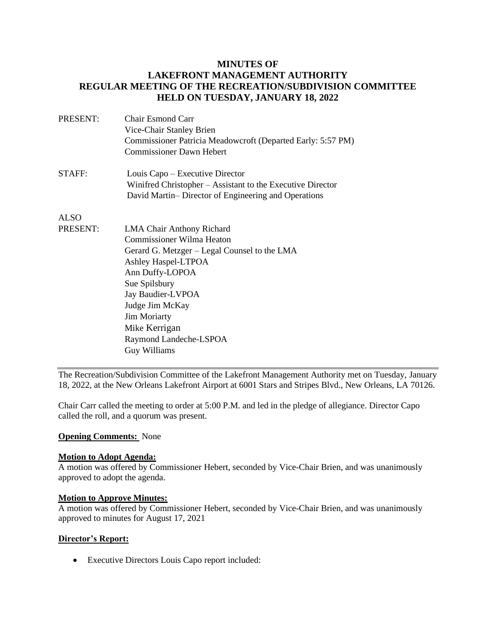### **MINUTES OF LAKEFRONT MANAGEMENT AUTHORITY REGULAR MEETING OF THE RECREATION/SUBDIVISION COMMITTEE HELD ON TUESDAY, JANUARY 18, 2022**

| PRESENT:    | Chair Esmond Carr                                           |
|-------------|-------------------------------------------------------------|
|             | Vice-Chair Stanley Brien                                    |
|             | Commissioner Patricia Meadowcroft (Departed Early: 5:57 PM) |
|             | <b>Commissioner Dawn Hebert</b>                             |
| STAFF:      | Louis Capo – Executive Director                             |
|             | Winifred Christopher – Assistant to the Executive Director  |
|             | David Martin-Director of Engineering and Operations         |
| <b>ALSO</b> |                                                             |
| PRESENT:    | <b>LMA Chair Anthony Richard</b>                            |
|             | Commissioner Wilma Heaton                                   |

Commissioner Wilma Heaton Gerard G. Metzger – Legal Counsel to the LMA Ashley Haspel-LTPOA Ann Duffy-LOPOA Sue Spilsbury Jay Baudier-LVPOA Judge Jim McKay Jim Moriarty Mike Kerrigan Raymond Landeche-LSPOA Guy Williams

The Recreation/Subdivision Committee of the Lakefront Management Authority met on Tuesday, January 18, 2022, at the New Orleans Lakefront Airport at 6001 Stars and Stripes Blvd., New Orleans, LA 70126.

Chair Carr called the meeting to order at 5:00 P.M. and led in the pledge of allegiance. Director Capo called the roll, and a quorum was present.

#### **Opening Comments:** None

#### **Motion to Adopt Agenda:**

A motion was offered by Commissioner Hebert, seconded by Vice-Chair Brien, and was unanimously approved to adopt the agenda.

#### **Motion to Approve Minutes:**

A motion was offered by Commissioner Hebert, seconded by Vice-Chair Brien, and was unanimously approved to minutes for August 17, 2021

#### **Director's Report:**

• Executive Directors Louis Capo report included: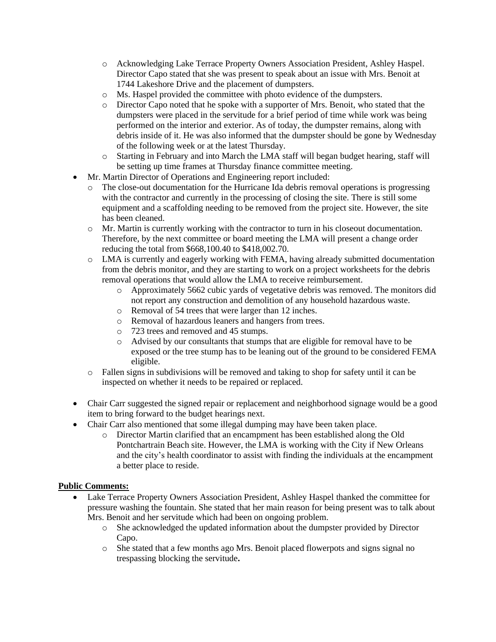- o Acknowledging Lake Terrace Property Owners Association President, Ashley Haspel. Director Capo stated that she was present to speak about an issue with Mrs. Benoit at 1744 Lakeshore Drive and the placement of dumpsters.
- o Ms. Haspel provided the committee with photo evidence of the dumpsters.
- o Director Capo noted that he spoke with a supporter of Mrs. Benoit, who stated that the dumpsters were placed in the servitude for a brief period of time while work was being performed on the interior and exterior. As of today, the dumpster remains, along with debris inside of it. He was also informed that the dumpster should be gone by Wednesday of the following week or at the latest Thursday.
- o Starting in February and into March the LMA staff will began budget hearing, staff will be setting up time frames at Thursday finance committee meeting.
- Mr. Martin Director of Operations and Engineering report included:
	- o The close-out documentation for the Hurricane Ida debris removal operations is progressing with the contractor and currently in the processing of closing the site. There is still some equipment and a scaffolding needing to be removed from the project site. However, the site has been cleaned.
	- o Mr. Martin is currently working with the contractor to turn in his closeout documentation. Therefore, by the next committee or board meeting the LMA will present a change order reducing the total from \$668,100.40 to \$418,002.70.
	- o LMA is currently and eagerly working with FEMA, having already submitted documentation from the debris monitor, and they are starting to work on a project worksheets for the debris removal operations that would allow the LMA to receive reimbursement.
		- o Approximately 5662 cubic yards of vegetative debris was removed. The monitors did not report any construction and demolition of any household hazardous waste.
		- o Removal of 54 trees that were larger than 12 inches.
		- o Removal of hazardous leaners and hangers from trees.
		- o 723 trees and removed and 45 stumps.
		- o Advised by our consultants that stumps that are eligible for removal have to be exposed or the tree stump has to be leaning out of the ground to be considered FEMA eligible.
	- o Fallen signs in subdivisions will be removed and taking to shop for safety until it can be inspected on whether it needs to be repaired or replaced.
- Chair Carr suggested the signed repair or replacement and neighborhood signage would be a good item to bring forward to the budget hearings next.
- Chair Carr also mentioned that some illegal dumping may have been taken place.
	- o Director Martin clarified that an encampment has been established along the Old Pontchartrain Beach site. However, the LMA is working with the City if New Orleans and the city's health coordinator to assist with finding the individuals at the encampment a better place to reside.

### **Public Comments:**

- Lake Terrace Property Owners Association President, Ashley Haspel thanked the committee for pressure washing the fountain. She stated that her main reason for being present was to talk about Mrs. Benoit and her servitude which had been on ongoing problem.
	- o She acknowledged the updated information about the dumpster provided by Director Capo.
	- o She stated that a few months ago Mrs. Benoit placed flowerpots and signs signal no trespassing blocking the servitude**.**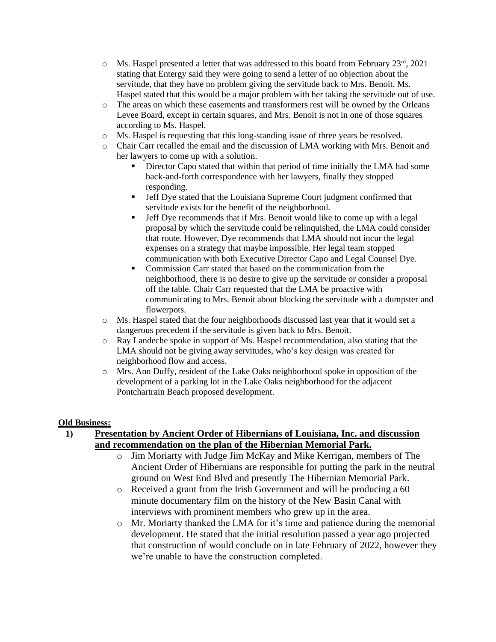- $\circ$  Ms. Haspel presented a letter that was addressed to this board from February 23<sup>rd</sup>, 2021 stating that Entergy said they were going to send a letter of no objection about the servitude, that they have no problem giving the servitude back to Mrs. Benoit. Ms. Haspel stated that this would be a major problem with her taking the servitude out of use.
- o The areas on which these easements and transformers rest will be owned by the Orleans Levee Board, except in certain squares, and Mrs. Benoit is not in one of those squares according to Ms. Haspel.
- o Ms. Haspel is requesting that this long-standing issue of three years be resolved.
- o Chair Carr recalled the email and the discussion of LMA working with Mrs. Benoit and her lawyers to come up with a solution.
	- **EXECUTE:** Director Capo stated that within that period of time initially the LMA had some back-and-forth correspondence with her lawyers, finally they stopped responding.
	- **•** Jeff Dye stated that the Louisiana Supreme Court judgment confirmed that servitude exists for the benefit of the neighborhood.
	- **•** Jeff Dye recommends that if Mrs. Benoit would like to come up with a legal proposal by which the servitude could be relinquished, the LMA could consider that route. However, Dye recommends that LMA should not incur the legal expenses on a strategy that maybe impossible. Her legal team stopped communication with both Executive Director Capo and Legal Counsel Dye.
	- Commission Carr stated that based on the communication from the neighborhood, there is no desire to give up the servitude or consider a proposal off the table. Chair Carr requested that the LMA be proactive with communicating to Mrs. Benoit about blocking the servitude with a dumpster and flowerpots.
- o Ms. Haspel stated that the four neighborhoods discussed last year that it would set a dangerous precedent if the servitude is given back to Mrs. Benoit.
- o Ray Landeche spoke in support of Ms. Haspel recommendation, also stating that the LMA should not be giving away servitudes, who's key design was created for neighborhood flow and access.
- o Mrs. Ann Duffy, resident of the Lake Oaks neighborhood spoke in opposition of the development of a parking lot in the Lake Oaks neighborhood for the adjacent Pontchartrain Beach proposed development.

#### **Old Business:**

### **1) Presentation by Ancient Order of Hibernians of Louisiana, Inc. and discussion and recommendation on the plan of the Hibernian Memorial Park.**

- o Jim Moriarty with Judge Jim McKay and Mike Kerrigan, members of The Ancient Order of Hibernians are responsible for putting the park in the neutral ground on West End Blvd and presently The Hibernian Memorial Park.
- o Received a grant from the Irish Government and will be producing a 60 minute documentary film on the history of the New Basin Canal with interviews with prominent members who grew up in the area.
- o Mr. Moriarty thanked the LMA for it's time and patience during the memorial development. He stated that the initial resolution passed a year ago projected that construction of would conclude on in late February of 2022, however they we're unable to have the construction completed.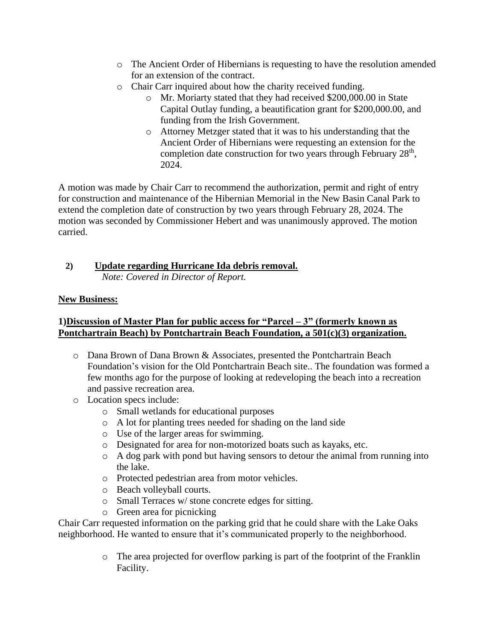- o The Ancient Order of Hibernians is requesting to have the resolution amended for an extension of the contract.
- o Chair Carr inquired about how the charity received funding.
	- o Mr. Moriarty stated that they had received \$200,000.00 in State Capital Outlay funding, a beautification grant for \$200,000.00, and funding from the Irish Government.
	- o Attorney Metzger stated that it was to his understanding that the Ancient Order of Hibernians were requesting an extension for the completion date construction for two years through February 28<sup>th</sup>, 2024.

A motion was made by Chair Carr to recommend the authorization, permit and right of entry for construction and maintenance of the Hibernian Memorial in the New Basin Canal Park to extend the completion date of construction by two years through February 28, 2024. The motion was seconded by Commissioner Hebert and was unanimously approved. The motion carried.

# **2) Update regarding Hurricane Ida debris removal.**

*Note: Covered in Director of Report.*

# **New Business:**

## **1)Discussion of Master Plan for public access for "Parcel – 3" (formerly known as Pontchartrain Beach) by Pontchartrain Beach Foundation, a 501(c)(3) organization.**

- o Dana Brown of Dana Brown & Associates, presented the Pontchartrain Beach Foundation's vision for the Old Pontchartrain Beach site.. The foundation was formed a few months ago for the purpose of looking at redeveloping the beach into a recreation and passive recreation area.
- o Location specs include:
	- o Small wetlands for educational purposes
	- o A lot for planting trees needed for shading on the land side
	- o Use of the larger areas for swimming.
	- o Designated for area for non-motorized boats such as kayaks, etc.
	- o A dog park with pond but having sensors to detour the animal from running into the lake.
	- o Protected pedestrian area from motor vehicles.
	- o Beach volleyball courts.
	- o Small Terraces w/ stone concrete edges for sitting.
	- o Green area for picnicking

Chair Carr requested information on the parking grid that he could share with the Lake Oaks neighborhood. He wanted to ensure that it's communicated properly to the neighborhood.

> o The area projected for overflow parking is part of the footprint of the Franklin Facility.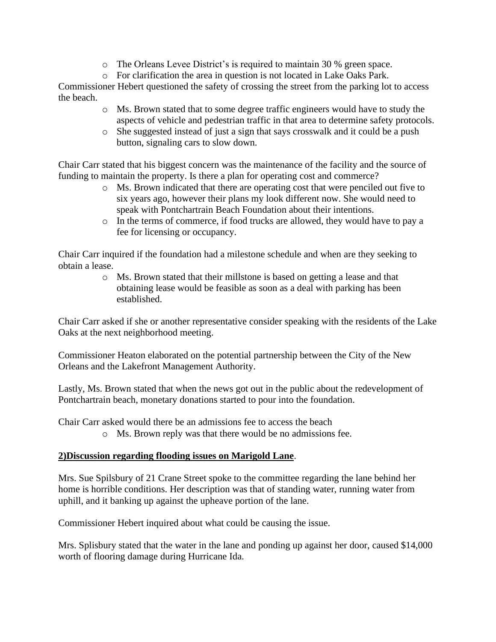- o The Orleans Levee District's is required to maintain 30 % green space.
- o For clarification the area in question is not located in Lake Oaks Park.

Commissioner Hebert questioned the safety of crossing the street from the parking lot to access the beach.

- o Ms. Brown stated that to some degree traffic engineers would have to study the aspects of vehicle and pedestrian traffic in that area to determine safety protocols.
- o She suggested instead of just a sign that says crosswalk and it could be a push button, signaling cars to slow down.

Chair Carr stated that his biggest concern was the maintenance of the facility and the source of funding to maintain the property. Is there a plan for operating cost and commerce?

- o Ms. Brown indicated that there are operating cost that were penciled out five to six years ago, however their plans my look different now. She would need to speak with Pontchartrain Beach Foundation about their intentions.
- o In the terms of commerce, if food trucks are allowed, they would have to pay a fee for licensing or occupancy.

Chair Carr inquired if the foundation had a milestone schedule and when are they seeking to obtain a lease.

> o Ms. Brown stated that their millstone is based on getting a lease and that obtaining lease would be feasible as soon as a deal with parking has been established.

Chair Carr asked if she or another representative consider speaking with the residents of the Lake Oaks at the next neighborhood meeting.

Commissioner Heaton elaborated on the potential partnership between the City of the New Orleans and the Lakefront Management Authority.

Lastly, Ms. Brown stated that when the news got out in the public about the redevelopment of Pontchartrain beach, monetary donations started to pour into the foundation.

Chair Carr asked would there be an admissions fee to access the beach

o Ms. Brown reply was that there would be no admissions fee.

### **2)Discussion regarding flooding issues on Marigold Lane**.

Mrs. Sue Spilsbury of 21 Crane Street spoke to the committee regarding the lane behind her home is horrible conditions. Her description was that of standing water, running water from uphill, and it banking up against the upheave portion of the lane.

Commissioner Hebert inquired about what could be causing the issue.

Mrs. Splisbury stated that the water in the lane and ponding up against her door, caused \$14,000 worth of flooring damage during Hurricane Ida.